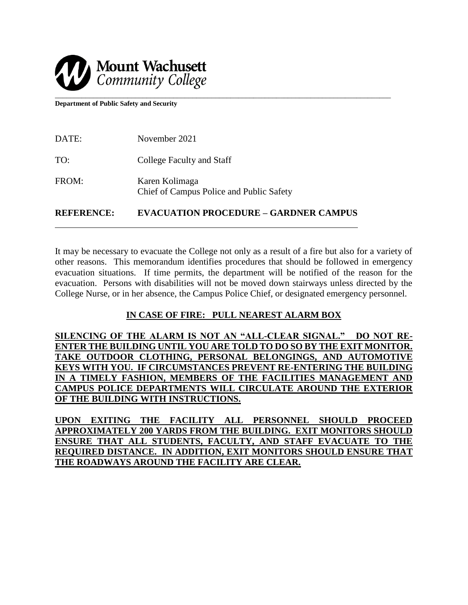

**Department of Public Safety and Security**

| November 2021                                              |
|------------------------------------------------------------|
| College Faculty and Staff                                  |
| Karen Kolimaga<br>Chief of Campus Police and Public Safety |
|                                                            |

**REFERENCE: EVACUATION PROCEDURE – GARDNER CAMPUS** 

It may be necessary to evacuate the College not only as a result of a fire but also for a variety of other reasons. This memorandum identifies procedures that should be followed in emergency evacuation situations. If time permits, the department will be notified of the reason for the evacuation. Persons with disabilities will not be moved down stairways unless directed by the College Nurse, or in her absence, the Campus Police Chief, or designated emergency personnel.

# **IN CASE OF FIRE: PULL NEAREST ALARM BOX**

**SILENCING OF THE ALARM IS NOT AN "ALL-CLEAR SIGNAL." DO NOT RE-ENTER THE BUILDING UNTIL YOU ARE TOLD TO DO SO BY THE EXIT MONITOR. TAKE OUTDOOR CLOTHING, PERSONAL BELONGINGS, AND AUTOMOTIVE KEYS WITH YOU. IF CIRCUMSTANCES PREVENT RE-ENTERING THE BUILDING IN A TIMELY FASHION, MEMBERS OF THE FACILITIES MANAGEMENT AND CAMPUS POLICE DEPARTMENTS WILL CIRCULATE AROUND THE EXTERIOR OF THE BUILDING WITH INSTRUCTIONS.**

**UPON EXITING THE FACILITY ALL PERSONNEL SHOULD PROCEED APPROXIMATELY 200 YARDS FROM THE BUILDING. EXIT MONITORS SHOULD ENSURE THAT ALL STUDENTS, FACULTY, AND STAFF EVACUATE TO THE REQUIRED DISTANCE. IN ADDITION, EXIT MONITORS SHOULD ENSURE THAT THE ROADWAYS AROUND THE FACILITY ARE CLEAR.**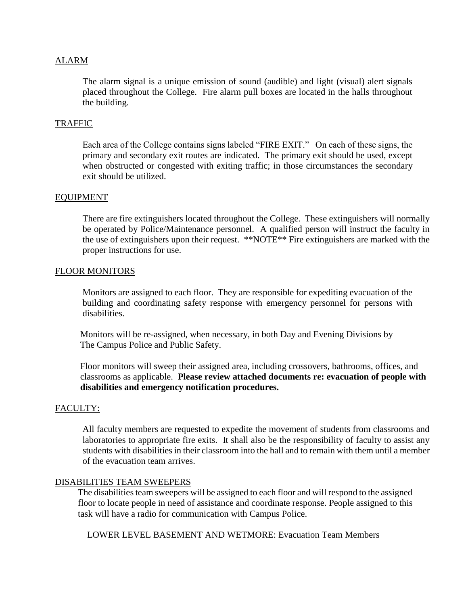## ALARM

The alarm signal is a unique emission of sound (audible) and light (visual) alert signals placed throughout the College. Fire alarm pull boxes are located in the halls throughout the building.

## TRAFFIC

Each area of the College contains signs labeled "FIRE EXIT." On each of these signs, the primary and secondary exit routes are indicated. The primary exit should be used, except when obstructed or congested with exiting traffic; in those circumstances the secondary exit should be utilized.

#### EQUIPMENT

There are fire extinguishers located throughout the College. These extinguishers will normally be operated by Police/Maintenance personnel. A qualified person will instruct the faculty in the use of extinguishers upon their request. \*\*NOTE\*\* Fire extinguishers are marked with the proper instructions for use.

#### FLOOR MONITORS

Monitors are assigned to each floor. They are responsible for expediting evacuation of the building and coordinating safety response with emergency personnel for persons with disabilities.

 Monitors will be re-assigned, when necessary, in both Day and Evening Divisions by The Campus Police and Public Safety.

 Floor monitors will sweep their assigned area, including crossovers, bathrooms, offices, and classrooms as applicable. **Please review attached documents re: evacuation of people with disabilities and emergency notification procedures.**

### FACULTY:

All faculty members are requested to expedite the movement of students from classrooms and laboratories to appropriate fire exits. It shall also be the responsibility of faculty to assist any students with disabilities in their classroom into the hall and to remain with them until a member of the evacuation team arrives.

#### DISABILITIES TEAM SWEEPERS

The disabilities team sweepers will be assigned to each floor and will respond to the assigned floor to locate people in need of assistance and coordinate response. People assigned to this task will have a radio for communication with Campus Police.

LOWER LEVEL BASEMENT AND WETMORE: Evacuation Team Members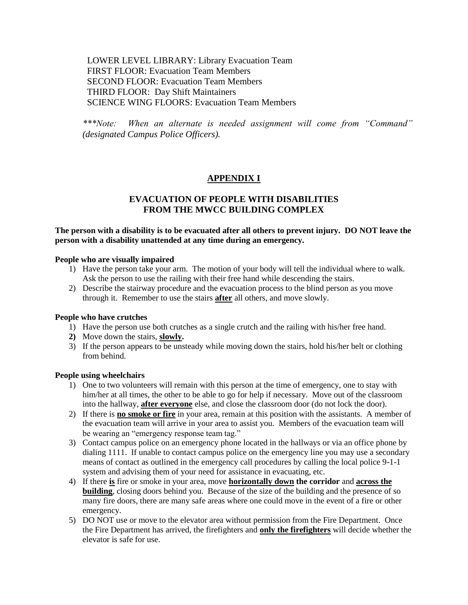LOWER LEVEL LIBRARY: Library Evacuation Team FIRST FLOOR: Evacuation Team Members SECOND FLOOR: Evacuation Team Members THIRD FLOOR: Day Shift Maintainers SCIENCE WING FLOORS: Evacuation Team Members

*\*\*\*Note: When an alternate is needed assignment will come from "Command" (designated Campus Police Officers).*

# **APPENDIX I**

# **EVACUATION OF PEOPLE WITH DISABILITIES FROM THE MWCC BUILDING COMPLEX**

## **The person with a disability is to be evacuated after all others to prevent injury. DO NOT leave the person with a disability unattended at any time during an emergency.**

#### **People who are visually impaired**

- 1) Have the person take your arm. The motion of your body will tell the individual where to walk. Ask the person to use the railing with their free hand while descending the stairs.
- 2) Describe the stairway procedure and the evacuation process to the blind person as you move through it. Remember to use the stairs **after** all others, and move slowly.

#### **People who have crutches**

- 1) Have the person use both crutches as a single crutch and the railing with his/her free hand.
- **2)** Move down the stairs, **slowly.**
- 3) If the person appears to be unsteady while moving down the stairs, hold his/her belt or clothing from behind.

#### **People using wheelchairs**

- 1) One to two volunteers will remain with this person at the time of emergency, one to stay with him/her at all times, the other to be able to go for help if necessary. Move out of the classroom into the hallway, **after everyone** else, and close the classroom door (do not lock the door).
- 2) If there is **no smoke or fire** in your area, remain at this position with the assistants. A member of the evacuation team will arrive in your area to assist you. Members of the evacuation team will be wearing an "emergency response team tag."
- 3) Contact campus police on an emergency phone located in the hallways or via an office phone by dialing 1111. If unable to contact campus police on the emergency line you may use a secondary means of contact as outlined in the emergency call procedures by calling the local police 9-1-1 system and advising them of your need for assistance in evacuating, etc.
- 4) If there **is** fire or smoke in your area, move **horizontally down the corridor** and **across the building**, closing doors behind you. Because of the size of the building and the presence of so many fire doors, there are many safe areas where one could move in the event of a fire or other emergency.
- 5) DO NOT use or move to the elevator area without permission from the Fire Department. Once the Fire Department has arrived, the firefighters and **only the firefighters** will decide whether the elevator is safe for use.